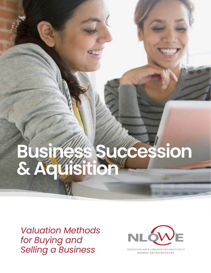## **Business Succession & Aquisition**

*Valuation Methods for Buying and Selling a Business*



NEWFOUNDLAND & LABRADOR ORGANIZATION OF **WOMEN ENTREPRENEURS**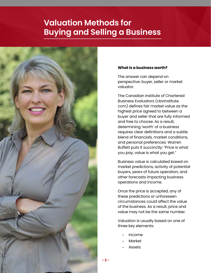## **Valuation Methods for Buying and Selling a Business**



## **What is a business worth?**

The answer can depend on perspective: buyer, seller or market valuator.

The Canadian Institute of Chartered Business Evaluators (cbvinstitute. com) defines fair market value as the highest price agreed to between a buyer and seller that are fully informed and free to choose. As a result, determining 'worth' of a business requires clear definitions and a subtle blend of financials, market conditions, and personal preferences. Warren Buffett puts it succinctly: "Price is what you pay; value is what you get."

Business value is calculated based on market predictions, activity of potential buyers, years of future operation, and other forecasts impacting business operations and income.

Once the price is accepted, any of these predictions or unforeseen circumstances could affect the value of the business. As a result, price and value may not be the same number.

Valuation is usually based on one of three key elements:

- Income
- Market
- **Assets**

**- 2 -**